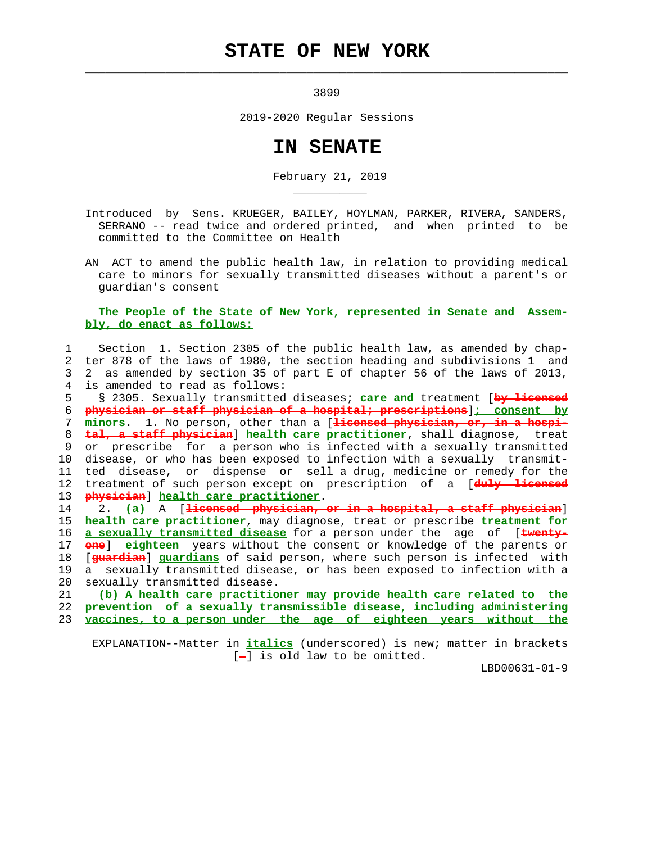## **STATE OF NEW YORK**

 $\mathcal{L}_\text{max} = \frac{1}{2} \sum_{i=1}^{n} \frac{1}{2} \sum_{i=1}^{n} \frac{1}{2} \sum_{i=1}^{n} \frac{1}{2} \sum_{i=1}^{n} \frac{1}{2} \sum_{i=1}^{n} \frac{1}{2} \sum_{i=1}^{n} \frac{1}{2} \sum_{i=1}^{n} \frac{1}{2} \sum_{i=1}^{n} \frac{1}{2} \sum_{i=1}^{n} \frac{1}{2} \sum_{i=1}^{n} \frac{1}{2} \sum_{i=1}^{n} \frac{1}{2} \sum_{i=1}^{n} \frac{1$ 

\_\_\_\_\_\_\_\_\_\_\_

3899

2019-2020 Regular Sessions

## **IN SENATE**

February 21, 2019

- Introduced by Sens. KRUEGER, BAILEY, HOYLMAN, PARKER, RIVERA, SANDERS, SERRANO -- read twice and ordered printed, and when printed to be committed to the Committee on Health
- AN ACT to amend the public health law, in relation to providing medical care to minors for sexually transmitted diseases without a parent's or guardian's consent

## **The People of the State of New York, represented in Senate and Assem bly, do enact as follows:**

 1 Section 1. Section 2305 of the public health law, as amended by chap- 2 ter 878 of the laws of 1980, the section heading and subdivisions 1 and 3 2 as amended by section 35 of part E of chapter 56 of the laws of 2013, 4 is amended to read as follows:

 5 § 2305. Sexually transmitted diseases; **care and** treatment [**by licensed** 6 **physician or staff physician of a hospital; prescriptions**]**; consent by** 7 **minors**. 1. No person, other than a [**licensed physician, or, in a hospi-** 8 **tal, a staff physician**] **health care practitioner**, shall diagnose, treat 9 or prescribe for a person who is infected with a sexually transmitted 10 disease, or who has been exposed to infection with a sexually transmit- 11 ted disease, or dispense or sell a drug, medicine or remedy for the 12 treatment of such person except on prescription of a [**duly licensed** 13 **physician**] **health care practitioner**.

 14 2. **(a)** A [**licensed physician, or in a hospital, a staff physician**] 15 **health care practitioner**, may diagnose, treat or prescribe **treatment for** 16 **a sexually transmitted disease** for a person under the age of [**twenty-** 17 **one**] **eighteen** years without the consent or knowledge of the parents or 18 [**guardian**] **guardians** of said person, where such person is infected with 19 a sexually transmitted disease, or has been exposed to infection with a 20 sexually transmitted disease.

 21 **(b) A health care practitioner may provide health care related to the** 22 **prevention of a sexually transmissible disease, including administering** 23 **vaccines, to a person under the age of eighteen years without the**

 EXPLANATION--Matter in **italics** (underscored) is new; matter in brackets  $[-]$  is old law to be omitted.

LBD00631-01-9